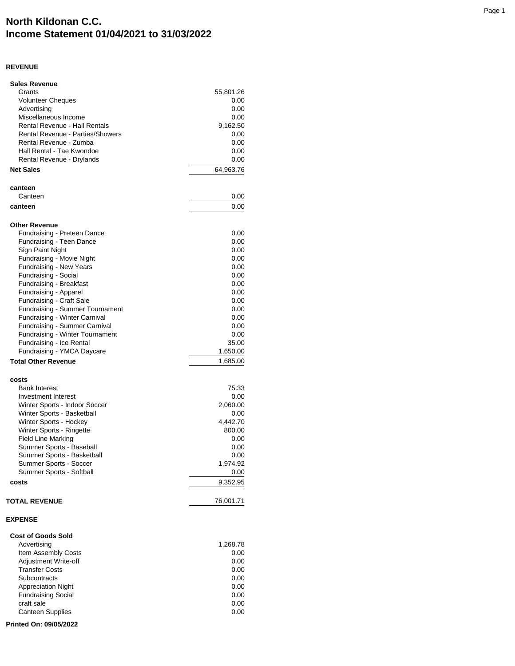## **North Kildonan C.C. Income Statement 01/04/2021 to 31/03/2022**

## **REVENUE**

| <b>Sales Revenue</b>                    |           |
|-----------------------------------------|-----------|
| Grants                                  | 55,801.26 |
| <b>Volunteer Cheques</b>                | 0.00      |
| Advertising                             | 0.00      |
| Miscellaneous Income                    | 0.00      |
| <b>Rental Revenue - Hall Rentals</b>    | 9,162.50  |
| <b>Rental Revenue - Parties/Showers</b> | 0.00      |
| Rental Revenue - Zumba                  | 0.00      |
| Hall Rental - Tae Kwondoe               | 0.00      |
| Rental Revenue - Drylands               | 0.00      |
| <b>Net Sales</b>                        | 64,963.76 |
|                                         |           |
| canteen<br>Canteen                      | 0.00      |
|                                         |           |
| canteen                                 | 0.00      |
| <b>Other Revenue</b>                    |           |
| Fundraising - Preteen Dance             | 0.00      |
| Fundraising - Teen Dance                | 0.00      |
| Sign Paint Night                        | 0.00      |
| Fundraising - Movie Night               | 0.00      |
| Fundraising - New Years                 | 0.00      |
| Fundraising - Social                    | 0.00      |
| Fundraising - Breakfast                 | 0.00      |
| Fundraising - Apparel                   | 0.00      |
| Fundraising - Craft Sale                | 0.00      |
| <b>Fundraising - Summer Tournament</b>  | 0.00      |
| Fundraising - Winter Carnival           | 0.00      |
| Fundraising - Summer Carnival           | 0.00      |
| Fundraising - Winter Tournament         | 0.00      |
| Fundraising - Ice Rental                | 35.00     |
| Fundraising - YMCA Daycare              | 1,650.00  |
| <b>Total Other Revenue</b>              | 1,685.00  |
|                                         |           |
| costs                                   |           |
| <b>Bank Interest</b>                    | 75.33     |
| Investment Interest                     | 0.00      |
| Winter Sports - Indoor Soccer           | 2,060.00  |
| Winter Sports - Basketball              | 0.00      |
| Winter Sports - Hockey                  | 4,442.70  |
| Winter Sports - Ringette                | 800.00    |
| <b>Field Line Marking</b>               | 0.00      |
| Summer Sports - Baseball                | 0.00      |
| Summer Sports - Basketball              | 0.00      |
| Summer Sports - Soccer                  | 1,974.92  |
| Summer Sports - Softball                | 0.00      |
| costs                                   | 9,352.95  |
| <b>TOTAL REVENUE</b>                    | 76,001.71 |
| <b>EXPENSE</b>                          |           |
|                                         |           |
| <b>Cost of Goods Sold</b>               |           |
| Advertising                             | 1,268.78  |
| Item Assembly Costs                     | 0.00      |
| Adjustment Write-off                    | 0.00      |
| <b>Transfer Costs</b>                   | 0.00      |
| Subcontracts                            | 0.00      |
| <b>Appreciation Night</b>               | 0.00      |
| <b>Fundraising Social</b>               | 0.00      |
| craft sale                              | 0.00      |
| <b>Canteen Supplies</b>                 | 0.00      |
| Printed On: 09/05/2022                  |           |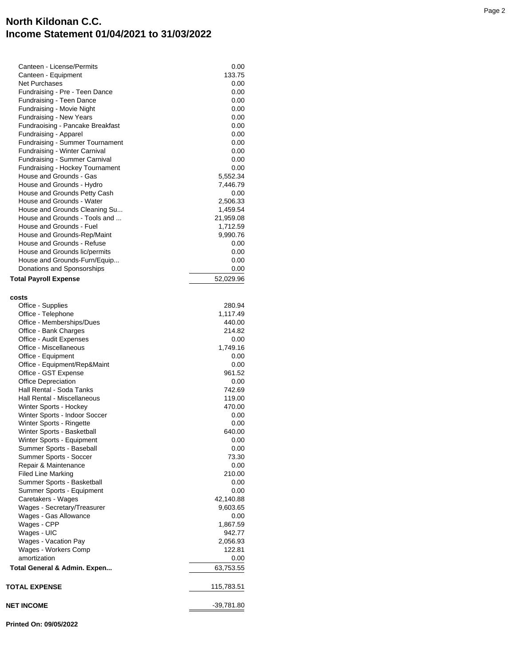## **North Kildonan C.C. Income Statement 01/04/2021 to 31/03/2022**

| Canteen - License/Permits                                  | $0.00\,$             |
|------------------------------------------------------------|----------------------|
| Canteen - Equipment                                        | 133.75               |
| <b>Net Purchases</b>                                       | 0.00                 |
| Fundraising - Pre - Teen Dance                             | 0.00                 |
| Fundraising - Teen Dance                                   | 0.00                 |
| Fundraising - Movie Night                                  | 0.00                 |
| Fundraising - New Years                                    | 0.00                 |
| Fundraoising - Pancake Breakfast                           | 0.00                 |
| Fundraising - Apparel                                      | 0.00                 |
| <b>Fundraising - Summer Tournament</b>                     | 0.00                 |
| Fundraising - Winter Carnival                              | 0.00                 |
| Fundraising - Summer Carnival                              | 0.00                 |
| Fundraising - Hockey Tournament<br>House and Grounds - Gas | 0.00                 |
| House and Grounds - Hydro                                  | 5,552.34<br>7,446.79 |
| House and Grounds Petty Cash                               | 0.00                 |
| House and Grounds - Water                                  | 2,506.33             |
| House and Grounds Cleaning Su                              | 1,459.54             |
| House and Grounds - Tools and                              | 21,959.08            |
| House and Grounds - Fuel                                   | 1,712.59             |
| House and Grounds-Rep/Maint                                | 9,990.76             |
| House and Grounds - Refuse                                 | 0.00 <sub>1</sub>    |
| House and Grounds lic/permits                              | 0.00                 |
| House and Grounds-Furn/Equip                               | 0.00                 |
| Donations and Sponsorships                                 | 0.00                 |
| <b>Total Payroll Expense</b>                               | 52,029.96            |
| costs                                                      |                      |
| Office - Supplies                                          | 280.94               |
| Office - Telephone                                         | 1,117.49             |
| Office - Memberships/Dues                                  | 440.00               |
| Office - Bank Charges                                      | 214.82               |
| Office - Audit Expenses                                    | 0.00                 |
| Office - Miscellaneous                                     | 1,749.16             |
| Office - Equipment                                         | $0.00\,$             |
| Office - Equipment/Rep&Maint                               | 0.00<br>961.52       |
| Office - GST Expense<br>Office Depreciation                | 0.00                 |
| Hall Rental - Soda Tanks                                   | 742.69               |
| Hall Rental - Miscellaneous                                | 119.00               |
| Winter Sports - Hockey                                     | 470.00               |
| Winter Sports - Indoor Soccer                              | 0.00                 |
| Winter Sports - Ringette                                   | 0.00                 |
| Winter Sports - Basketball                                 | 640.00               |
| Winter Sports - Equipment                                  | 0.00                 |
| Summer Sports - Baseball                                   | 0.00                 |
| Summer Sports - Soccer                                     | 73.30                |
| Repair & Maintenance                                       | 0.00                 |
| <b>Filed Line Marking</b>                                  | 210.00               |
| Summer Sports - Basketball                                 | 0.00                 |
| Summer Sports - Equipment                                  | 0.00                 |
| Caretakers - Wages                                         | 42,140.88            |
| Wages - Secretary/Treasurer                                | 9,603.65             |
| Wages - Gas Allowance                                      | 0.00                 |
| Wages - CPP                                                | 1,867.59             |
| Wages - UIC<br>Wages - Vacation Pay                        | 942.77               |
| Wages - Workers Comp                                       | 2,056.93<br>122.81   |
| amortization                                               | 0.00                 |
| Total General & Admin. Expen                               | 63,753.55            |
|                                                            |                      |
| <b>TOTAL EXPENSE</b>                                       | 115,783.51           |
| NET INCOME                                                 | $-39,781.80$         |
|                                                            |                      |

**Printed On: 09/05/2022**